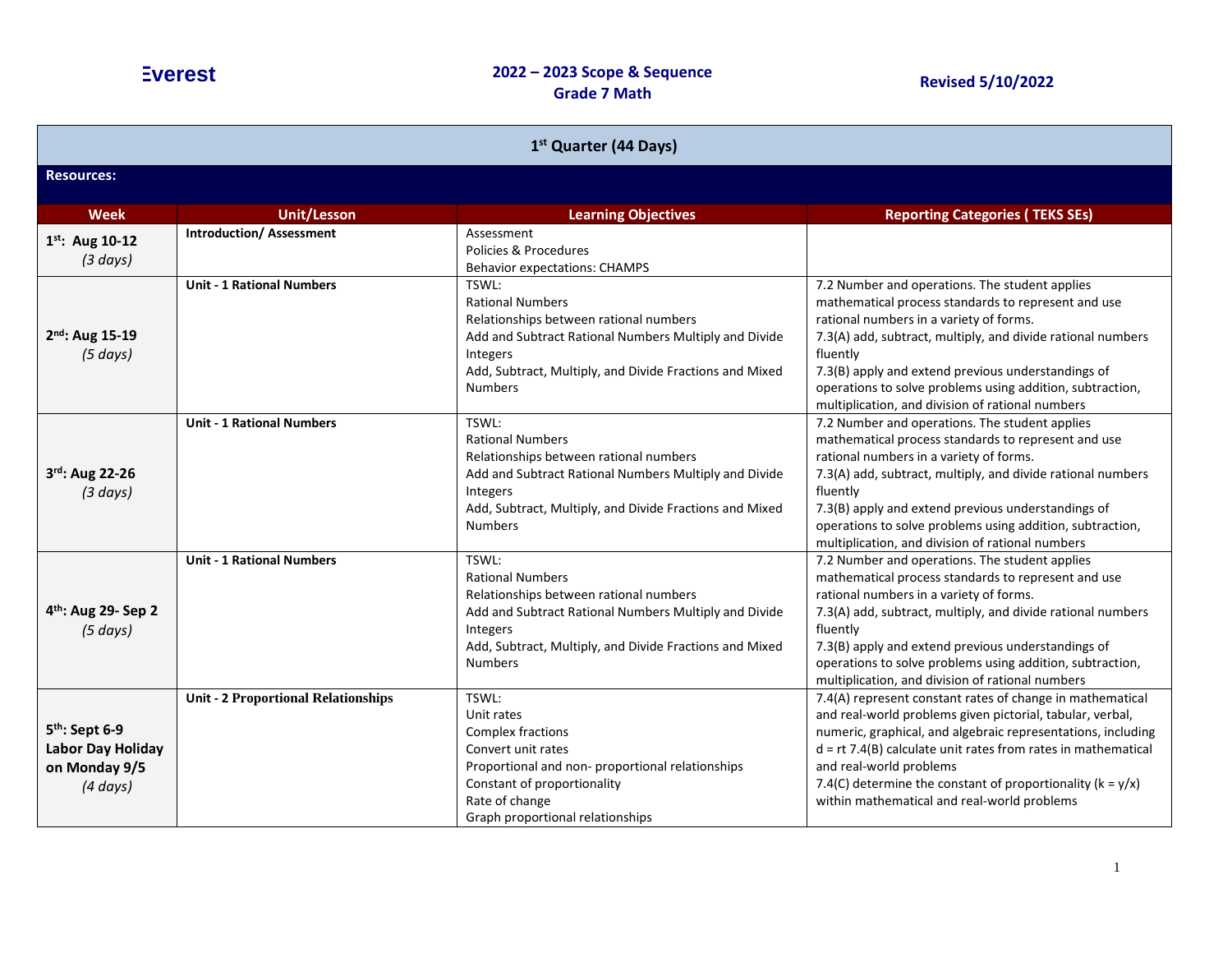| 1 <sup>st</sup> Quarter (44 Days)                                                        |                                            |                                                                                                                                                                                                                              |                                                                                                                                                                                                                                                                                                                                                                                                       |  |
|------------------------------------------------------------------------------------------|--------------------------------------------|------------------------------------------------------------------------------------------------------------------------------------------------------------------------------------------------------------------------------|-------------------------------------------------------------------------------------------------------------------------------------------------------------------------------------------------------------------------------------------------------------------------------------------------------------------------------------------------------------------------------------------------------|--|
| <b>Resources:</b>                                                                        |                                            |                                                                                                                                                                                                                              |                                                                                                                                                                                                                                                                                                                                                                                                       |  |
| <b>Week</b>                                                                              | <b>Unit/Lesson</b>                         | <b>Learning Objectives</b>                                                                                                                                                                                                   | <b>Reporting Categories (TEKS SEs)</b>                                                                                                                                                                                                                                                                                                                                                                |  |
| 1st: Aug 10-12<br>(3 days)                                                               | <b>Introduction/Assessment</b>             | Assessment<br>Policies & Procedures<br><b>Behavior expectations: CHAMPS</b>                                                                                                                                                  |                                                                                                                                                                                                                                                                                                                                                                                                       |  |
| $2^{nd}$ : Aug 15-19<br>(5 days)                                                         | <b>Unit - 1 Rational Numbers</b>           | TSWL:<br><b>Rational Numbers</b><br>Relationships between rational numbers<br>Add and Subtract Rational Numbers Multiply and Divide<br>Integers<br>Add, Subtract, Multiply, and Divide Fractions and Mixed<br><b>Numbers</b> | 7.2 Number and operations. The student applies<br>mathematical process standards to represent and use<br>rational numbers in a variety of forms.<br>7.3(A) add, subtract, multiply, and divide rational numbers<br>fluently<br>7.3(B) apply and extend previous understandings of<br>operations to solve problems using addition, subtraction,<br>multiplication, and division of rational numbers    |  |
| 3rd: Aug 22-26<br>(3 days)                                                               | <b>Unit - 1 Rational Numbers</b>           | TSWL:<br><b>Rational Numbers</b><br>Relationships between rational numbers<br>Add and Subtract Rational Numbers Multiply and Divide<br>Integers<br>Add, Subtract, Multiply, and Divide Fractions and Mixed<br><b>Numbers</b> | 7.2 Number and operations. The student applies<br>mathematical process standards to represent and use<br>rational numbers in a variety of forms.<br>7.3(A) add, subtract, multiply, and divide rational numbers<br>fluently<br>7.3(B) apply and extend previous understandings of<br>operations to solve problems using addition, subtraction,<br>multiplication, and division of rational numbers    |  |
| 4 <sup>th</sup> : Aug 29- Sep 2<br>(5 days)                                              | <b>Unit - 1 Rational Numbers</b>           | TSWL:<br><b>Rational Numbers</b><br>Relationships between rational numbers<br>Add and Subtract Rational Numbers Multiply and Divide<br>Integers<br>Add, Subtract, Multiply, and Divide Fractions and Mixed<br><b>Numbers</b> | 7.2 Number and operations. The student applies<br>mathematical process standards to represent and use<br>rational numbers in a variety of forms.<br>7.3(A) add, subtract, multiply, and divide rational numbers<br>fluently<br>7.3(B) apply and extend previous understandings of<br>operations to solve problems using addition, subtraction,<br>multiplication, and division of rational numbers    |  |
| 5 <sup>th</sup> : Sept 6-9<br><b>Labor Day Holiday</b><br>on Monday 9/5<br>$(4 \, days)$ | <b>Unit - 2 Proportional Relationships</b> | TSWL:<br>Unit rates<br>Complex fractions<br>Convert unit rates<br>Proportional and non- proportional relationships<br>Constant of proportionality<br>Rate of change<br>Graph proportional relationships                      | 7.4(A) represent constant rates of change in mathematical<br>and real-world problems given pictorial, tabular, verbal,<br>numeric, graphical, and algebraic representations, including<br>$d = rt$ 7.4(B) calculate unit rates from rates in mathematical<br>and real-world problems<br>7.4(C) determine the constant of proportionality ( $k = y/x$ )<br>within mathematical and real-world problems |  |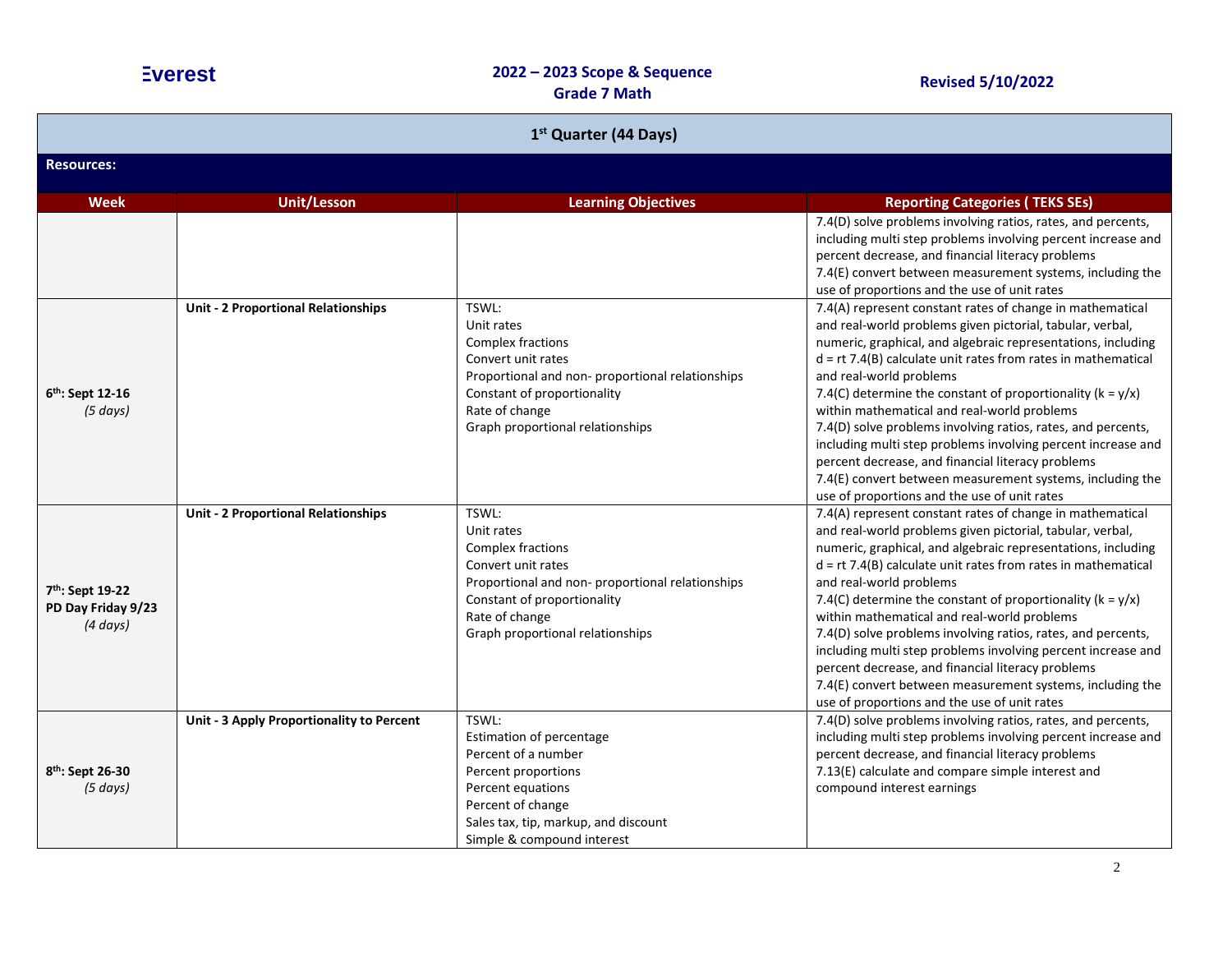| 1 <sup>st</sup> Quarter (44 Days)                      |                                            |                                                                                                                                                                                                        |                                                                                                                                                                                                                                                                                                                                                                                                                                                                                                                                                                                                                                                                                                         |  |
|--------------------------------------------------------|--------------------------------------------|--------------------------------------------------------------------------------------------------------------------------------------------------------------------------------------------------------|---------------------------------------------------------------------------------------------------------------------------------------------------------------------------------------------------------------------------------------------------------------------------------------------------------------------------------------------------------------------------------------------------------------------------------------------------------------------------------------------------------------------------------------------------------------------------------------------------------------------------------------------------------------------------------------------------------|--|
| <b>Resources:</b>                                      |                                            |                                                                                                                                                                                                        |                                                                                                                                                                                                                                                                                                                                                                                                                                                                                                                                                                                                                                                                                                         |  |
| <b>Week</b>                                            | <b>Unit/Lesson</b>                         | <b>Learning Objectives</b>                                                                                                                                                                             | <b>Reporting Categories (TEKS SEs)</b>                                                                                                                                                                                                                                                                                                                                                                                                                                                                                                                                                                                                                                                                  |  |
|                                                        |                                            |                                                                                                                                                                                                        | 7.4(D) solve problems involving ratios, rates, and percents,<br>including multi step problems involving percent increase and<br>percent decrease, and financial literacy problems<br>7.4(E) convert between measurement systems, including the<br>use of proportions and the use of unit rates                                                                                                                                                                                                                                                                                                                                                                                                          |  |
| 6th: Sept 12-16<br>(5 days)                            | <b>Unit - 2 Proportional Relationships</b> | TSWL:<br>Unit rates<br>Complex fractions<br>Convert unit rates<br>Proportional and non-proportional relationships<br>Constant of proportionality<br>Rate of change<br>Graph proportional relationships | 7.4(A) represent constant rates of change in mathematical<br>and real-world problems given pictorial, tabular, verbal,<br>numeric, graphical, and algebraic representations, including<br>$d = rt$ 7.4(B) calculate unit rates from rates in mathematical<br>and real-world problems<br>7.4(C) determine the constant of proportionality ( $k = y/x$ )<br>within mathematical and real-world problems<br>7.4(D) solve problems involving ratios, rates, and percents,<br>including multi step problems involving percent increase and<br>percent decrease, and financial literacy problems<br>7.4(E) convert between measurement systems, including the<br>use of proportions and the use of unit rates |  |
| 7th: Sept 19-22<br>PD Day Friday 9/23<br>$(4 \, days)$ | Unit - 2 Proportional Relationships        | TSWL:<br>Unit rates<br>Complex fractions<br>Convert unit rates<br>Proportional and non-proportional relationships<br>Constant of proportionality<br>Rate of change<br>Graph proportional relationships | 7.4(A) represent constant rates of change in mathematical<br>and real-world problems given pictorial, tabular, verbal,<br>numeric, graphical, and algebraic representations, including<br>$d = rt$ 7.4(B) calculate unit rates from rates in mathematical<br>and real-world problems<br>7.4(C) determine the constant of proportionality ( $k = y/x$ )<br>within mathematical and real-world problems<br>7.4(D) solve problems involving ratios, rates, and percents,<br>including multi step problems involving percent increase and<br>percent decrease, and financial literacy problems<br>7.4(E) convert between measurement systems, including the<br>use of proportions and the use of unit rates |  |
| 8th: Sept 26-30<br>(5 days)                            | Unit - 3 Apply Proportionality to Percent  | TSWL:<br>Estimation of percentage<br>Percent of a number<br>Percent proportions<br>Percent equations<br>Percent of change<br>Sales tax, tip, markup, and discount<br>Simple & compound interest        | 7.4(D) solve problems involving ratios, rates, and percents,<br>including multi step problems involving percent increase and<br>percent decrease, and financial literacy problems<br>7.13(E) calculate and compare simple interest and<br>compound interest earnings                                                                                                                                                                                                                                                                                                                                                                                                                                    |  |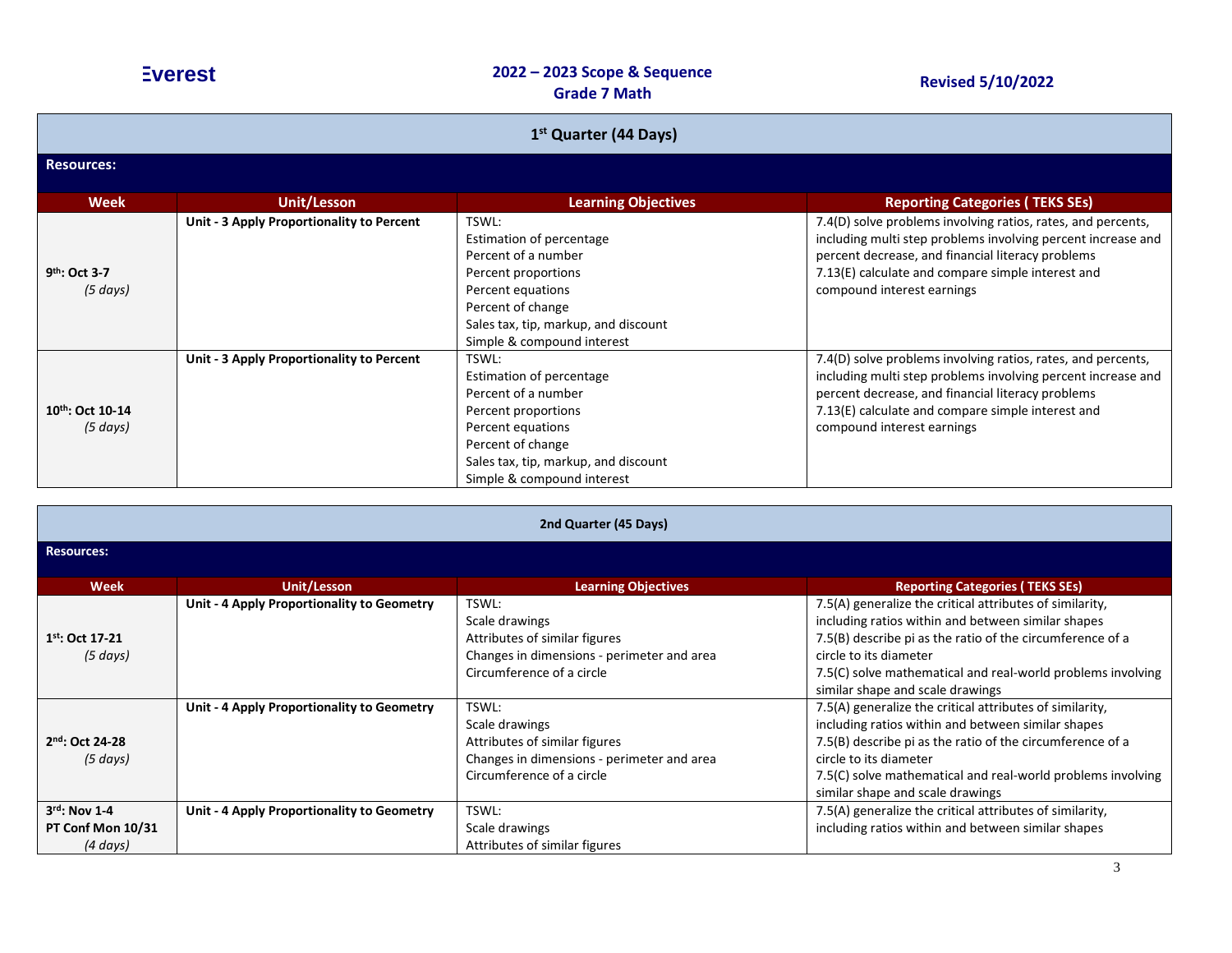| 1 <sup>st</sup> Quarter (44 Days)          |                                           |                                                                                                                                                                                                 |                                                                                                                                                                                                                                                                      |  |
|--------------------------------------------|-------------------------------------------|-------------------------------------------------------------------------------------------------------------------------------------------------------------------------------------------------|----------------------------------------------------------------------------------------------------------------------------------------------------------------------------------------------------------------------------------------------------------------------|--|
| <b>Resources:</b>                          |                                           |                                                                                                                                                                                                 |                                                                                                                                                                                                                                                                      |  |
| <b>Week</b>                                | Unit/Lesson                               | <b>Learning Objectives</b>                                                                                                                                                                      | <b>Reporting Categories (TEKS SEs)</b>                                                                                                                                                                                                                               |  |
| 9 <sup>th</sup> : Oct 3-7<br>$(5 \, days)$ | Unit - 3 Apply Proportionality to Percent | TSWL:<br>Estimation of percentage<br>Percent of a number<br>Percent proportions<br>Percent equations<br>Percent of change<br>Sales tax, tip, markup, and discount<br>Simple & compound interest | 7.4(D) solve problems involving ratios, rates, and percents,<br>including multi step problems involving percent increase and<br>percent decrease, and financial literacy problems<br>7.13(E) calculate and compare simple interest and<br>compound interest earnings |  |
| $10^{th}$ : Oct 10-14<br>$(5 \, days)$     | Unit - 3 Apply Proportionality to Percent | TSWL:<br>Estimation of percentage<br>Percent of a number<br>Percent proportions<br>Percent equations<br>Percent of change<br>Sales tax, tip, markup, and discount<br>Simple & compound interest | 7.4(D) solve problems involving ratios, rates, and percents,<br>including multi step problems involving percent increase and<br>percent decrease, and financial literacy problems<br>7.13(E) calculate and compare simple interest and<br>compound interest earnings |  |

| 2nd Quarter (45 Days)                                      |                                            |                                                                                                                                     |                                                                                                                                                                                                                                                                                                          |
|------------------------------------------------------------|--------------------------------------------|-------------------------------------------------------------------------------------------------------------------------------------|----------------------------------------------------------------------------------------------------------------------------------------------------------------------------------------------------------------------------------------------------------------------------------------------------------|
| <b>Resources:</b>                                          |                                            |                                                                                                                                     |                                                                                                                                                                                                                                                                                                          |
| Week                                                       | Unit/Lesson                                | <b>Learning Objectives</b>                                                                                                          | <b>Reporting Categories (TEKS SEs)</b>                                                                                                                                                                                                                                                                   |
| $1st$ : Oct 17-21<br>$(5 \, days)$                         | Unit - 4 Apply Proportionality to Geometry | TSWL:<br>Scale drawings<br>Attributes of similar figures<br>Changes in dimensions - perimeter and area<br>Circumference of a circle | 7.5(A) generalize the critical attributes of similarity,<br>including ratios within and between similar shapes<br>7.5(B) describe pi as the ratio of the circumference of a<br>circle to its diameter<br>7.5(C) solve mathematical and real-world problems involving<br>similar shape and scale drawings |
| 2nd: Oct 24-28<br>$(5 \, days)$                            | Unit - 4 Apply Proportionality to Geometry | TSWL:<br>Scale drawings<br>Attributes of similar figures<br>Changes in dimensions - perimeter and area<br>Circumference of a circle | 7.5(A) generalize the critical attributes of similarity,<br>including ratios within and between similar shapes<br>7.5(B) describe pi as the ratio of the circumference of a<br>circle to its diameter<br>7.5(C) solve mathematical and real-world problems involving<br>similar shape and scale drawings |
| $3rd$ : Nov 1-4<br>PT Conf Mon 10/31<br>$(4 \text{ days})$ | Unit - 4 Apply Proportionality to Geometry | TSWL:<br>Scale drawings<br>Attributes of similar figures                                                                            | 7.5(A) generalize the critical attributes of similarity,<br>including ratios within and between similar shapes                                                                                                                                                                                           |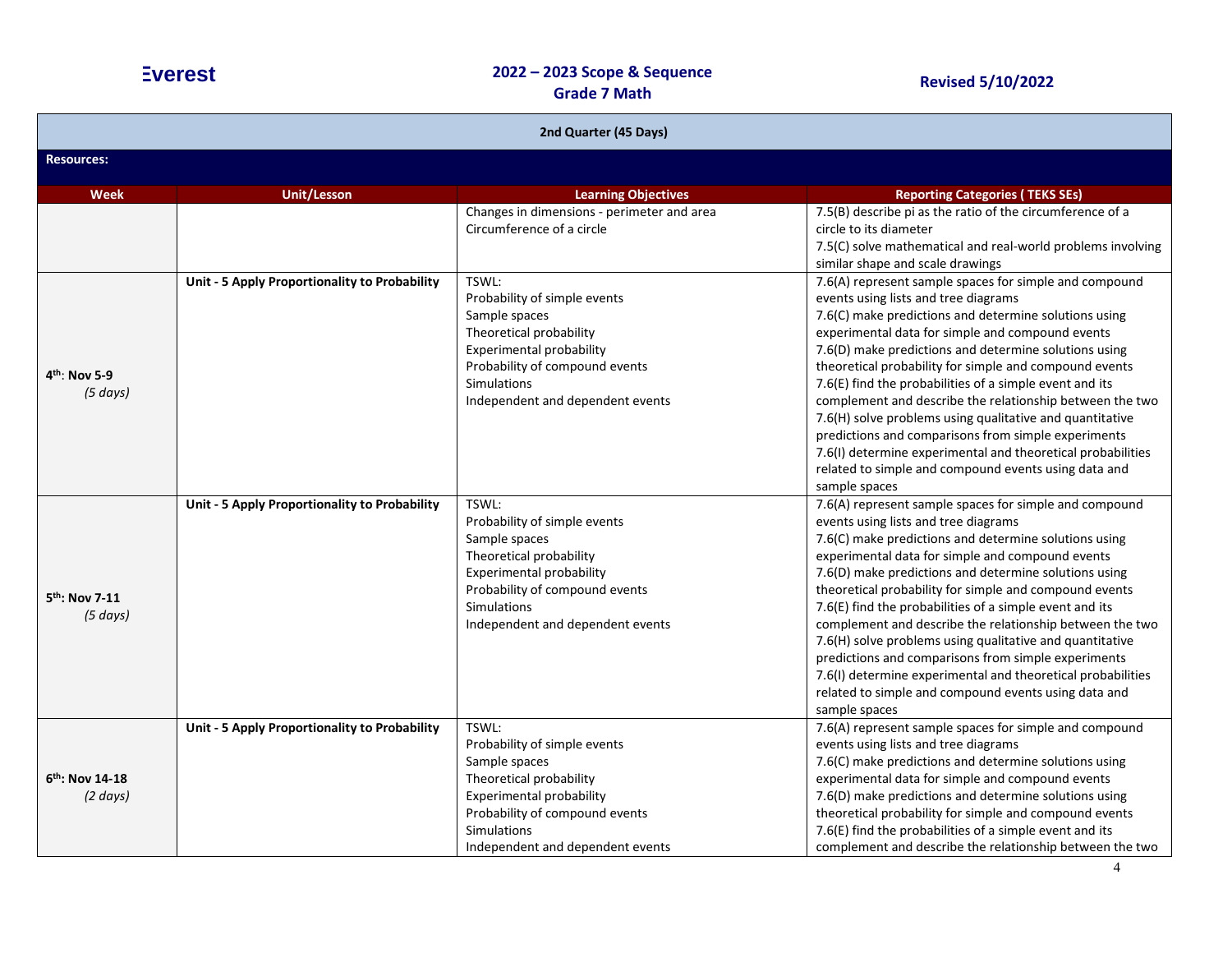| 2nd Quarter (45 Days)                   |                                               |                                                                                                                                                                                                           |                                                                                                                                                                                                                                                                                                                                                                                                                                                                                                                                                                                                                                                                                                                  |  |  |
|-----------------------------------------|-----------------------------------------------|-----------------------------------------------------------------------------------------------------------------------------------------------------------------------------------------------------------|------------------------------------------------------------------------------------------------------------------------------------------------------------------------------------------------------------------------------------------------------------------------------------------------------------------------------------------------------------------------------------------------------------------------------------------------------------------------------------------------------------------------------------------------------------------------------------------------------------------------------------------------------------------------------------------------------------------|--|--|
| <b>Resources:</b>                       |                                               |                                                                                                                                                                                                           |                                                                                                                                                                                                                                                                                                                                                                                                                                                                                                                                                                                                                                                                                                                  |  |  |
| <b>Week</b>                             | <b>Unit/Lesson</b>                            | <b>Learning Objectives</b>                                                                                                                                                                                | <b>Reporting Categories (TEKS SEs)</b>                                                                                                                                                                                                                                                                                                                                                                                                                                                                                                                                                                                                                                                                           |  |  |
|                                         |                                               | Changes in dimensions - perimeter and area<br>Circumference of a circle                                                                                                                                   | 7.5(B) describe pi as the ratio of the circumference of a<br>circle to its diameter<br>7.5(C) solve mathematical and real-world problems involving<br>similar shape and scale drawings                                                                                                                                                                                                                                                                                                                                                                                                                                                                                                                           |  |  |
| $4^{th}$ : Nov 5-9<br>$(5 \, days)$     | Unit - 5 Apply Proportionality to Probability | TSWL:<br>Probability of simple events<br>Sample spaces<br>Theoretical probability<br><b>Experimental probability</b><br>Probability of compound events<br>Simulations<br>Independent and dependent events | 7.6(A) represent sample spaces for simple and compound<br>events using lists and tree diagrams<br>7.6(C) make predictions and determine solutions using<br>experimental data for simple and compound events<br>7.6(D) make predictions and determine solutions using<br>theoretical probability for simple and compound events<br>7.6(E) find the probabilities of a simple event and its<br>complement and describe the relationship between the two<br>7.6(H) solve problems using qualitative and quantitative<br>predictions and comparisons from simple experiments<br>7.6(I) determine experimental and theoretical probabilities<br>related to simple and compound events using data and<br>sample spaces |  |  |
| 5 <sup>th</sup> : Nov 7-11<br>(5 days)  | Unit - 5 Apply Proportionality to Probability | TSWL:<br>Probability of simple events<br>Sample spaces<br>Theoretical probability<br><b>Experimental probability</b><br>Probability of compound events<br>Simulations<br>Independent and dependent events | 7.6(A) represent sample spaces for simple and compound<br>events using lists and tree diagrams<br>7.6(C) make predictions and determine solutions using<br>experimental data for simple and compound events<br>7.6(D) make predictions and determine solutions using<br>theoretical probability for simple and compound events<br>7.6(E) find the probabilities of a simple event and its<br>complement and describe the relationship between the two<br>7.6(H) solve problems using qualitative and quantitative<br>predictions and comparisons from simple experiments<br>7.6(I) determine experimental and theoretical probabilities<br>related to simple and compound events using data and<br>sample spaces |  |  |
| $6th$ : Nov 14-18<br>$(2 \text{ days})$ | Unit - 5 Apply Proportionality to Probability | TSWL:<br>Probability of simple events<br>Sample spaces<br>Theoretical probability<br><b>Experimental probability</b><br>Probability of compound events<br>Simulations<br>Independent and dependent events | 7.6(A) represent sample spaces for simple and compound<br>events using lists and tree diagrams<br>7.6(C) make predictions and determine solutions using<br>experimental data for simple and compound events<br>7.6(D) make predictions and determine solutions using<br>theoretical probability for simple and compound events<br>7.6(E) find the probabilities of a simple event and its<br>complement and describe the relationship between the two                                                                                                                                                                                                                                                            |  |  |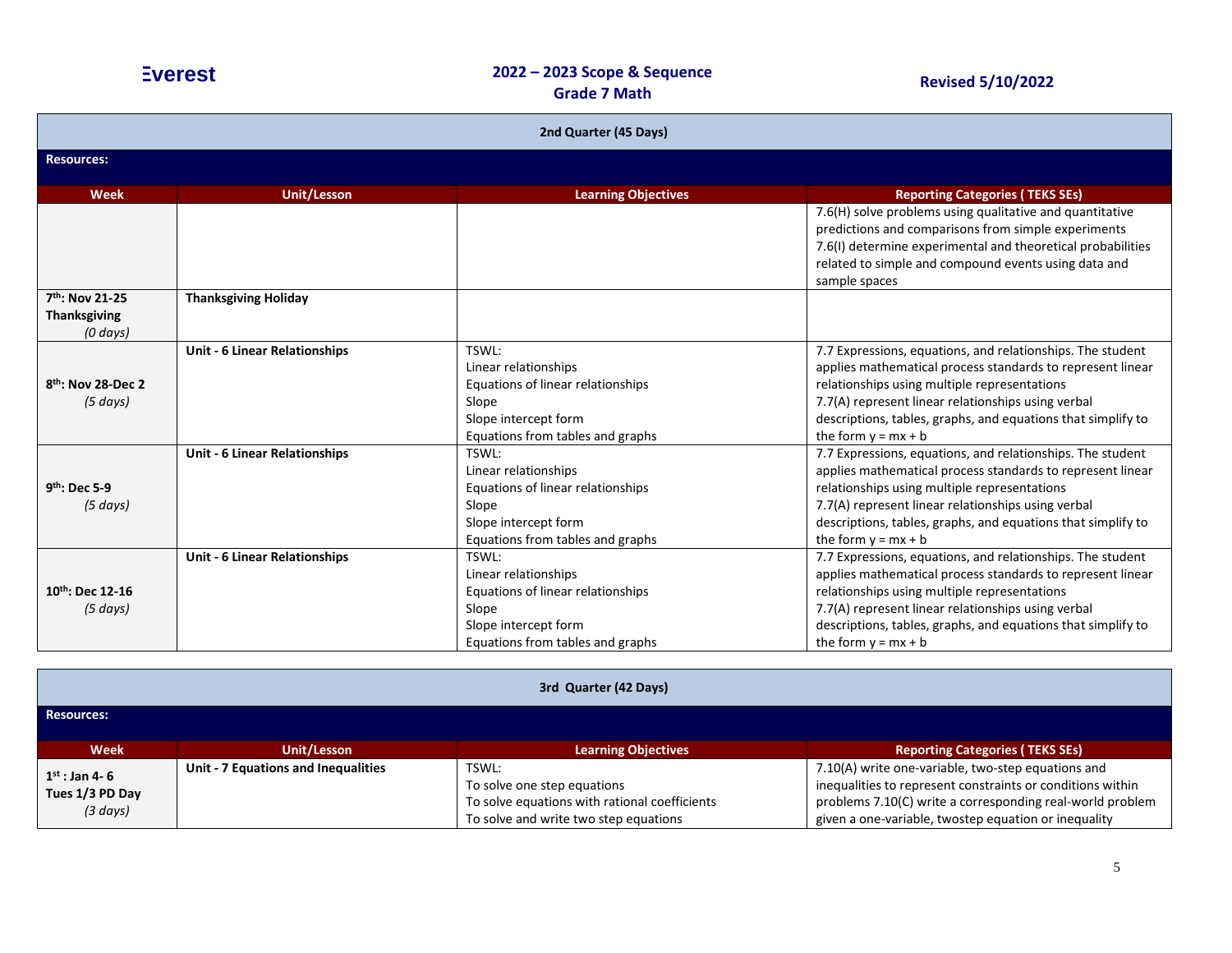| 2nd Quarter (45 Days)                      |                                      |                                                                                                                                         |                                                                                                                                                                                                                                                                                                                         |
|--------------------------------------------|--------------------------------------|-----------------------------------------------------------------------------------------------------------------------------------------|-------------------------------------------------------------------------------------------------------------------------------------------------------------------------------------------------------------------------------------------------------------------------------------------------------------------------|
| <b>Resources:</b>                          |                                      |                                                                                                                                         |                                                                                                                                                                                                                                                                                                                         |
| Week                                       | <b>Unit/Lesson</b>                   | <b>Learning Objectives</b>                                                                                                              | <b>Reporting Categories (TEKS SEs)</b>                                                                                                                                                                                                                                                                                  |
|                                            |                                      |                                                                                                                                         | 7.6(H) solve problems using qualitative and quantitative<br>predictions and comparisons from simple experiments<br>7.6(I) determine experimental and theoretical probabilities<br>related to simple and compound events using data and<br>sample spaces                                                                 |
| 7 <sup>th</sup> : Nov 21-25                | <b>Thanksgiving Holiday</b>          |                                                                                                                                         |                                                                                                                                                                                                                                                                                                                         |
| <b>Thanksgiving</b>                        |                                      |                                                                                                                                         |                                                                                                                                                                                                                                                                                                                         |
| $(0 \, days)$                              |                                      |                                                                                                                                         |                                                                                                                                                                                                                                                                                                                         |
| 8 <sup>th</sup> : Nov 28-Dec 2<br>(5 days) | <b>Unit - 6 Linear Relationships</b> | TSWL:<br>Linear relationships<br>Equations of linear relationships<br>Slope<br>Slope intercept form<br>Equations from tables and graphs | 7.7 Expressions, equations, and relationships. The student<br>applies mathematical process standards to represent linear<br>relationships using multiple representations<br>7.7(A) represent linear relationships using verbal<br>descriptions, tables, graphs, and equations that simplify to<br>the form $y = mx + b$ |
| 9th: Dec 5-9<br>(5 days)                   | <b>Unit - 6 Linear Relationships</b> | TSWL:<br>Linear relationships<br>Equations of linear relationships<br>Slope<br>Slope intercept form<br>Equations from tables and graphs | 7.7 Expressions, equations, and relationships. The student<br>applies mathematical process standards to represent linear<br>relationships using multiple representations<br>7.7(A) represent linear relationships using verbal<br>descriptions, tables, graphs, and equations that simplify to<br>the form $y = mx + b$ |
| 10th: Dec 12-16<br>(5 days)                | <b>Unit - 6 Linear Relationships</b> | TSWL:<br>Linear relationships<br>Equations of linear relationships<br>Slope<br>Slope intercept form<br>Equations from tables and graphs | 7.7 Expressions, equations, and relationships. The student<br>applies mathematical process standards to represent linear<br>relationships using multiple representations<br>7.7(A) represent linear relationships using verbal<br>descriptions, tables, graphs, and equations that simplify to<br>the form $y = mx + b$ |

| 3rd Quarter (42 Days)                                       |                                     |                                                                                                                                |                                                                                                                                                                                                                                       |
|-------------------------------------------------------------|-------------------------------------|--------------------------------------------------------------------------------------------------------------------------------|---------------------------------------------------------------------------------------------------------------------------------------------------------------------------------------------------------------------------------------|
| Resources:                                                  |                                     |                                                                                                                                |                                                                                                                                                                                                                                       |
| <b>Week</b>                                                 | Unit/Lesson                         | <b>Learning Objectives</b>                                                                                                     | <b>Reporting Categories (TEKS SEs)</b>                                                                                                                                                                                                |
| $1^{st}$ : Jan 4-6<br>Tues 1/3 PD Day<br>$(3 \text{ days})$ | Unit - 7 Equations and Inequalities | TSWL:<br>To solve one step equations<br>To solve equations with rational coefficients<br>To solve and write two step equations | 7.10(A) write one-variable, two-step equations and<br>inequalities to represent constraints or conditions within<br>problems 7.10(C) write a corresponding real-world problem<br>given a one-variable, twostep equation or inequality |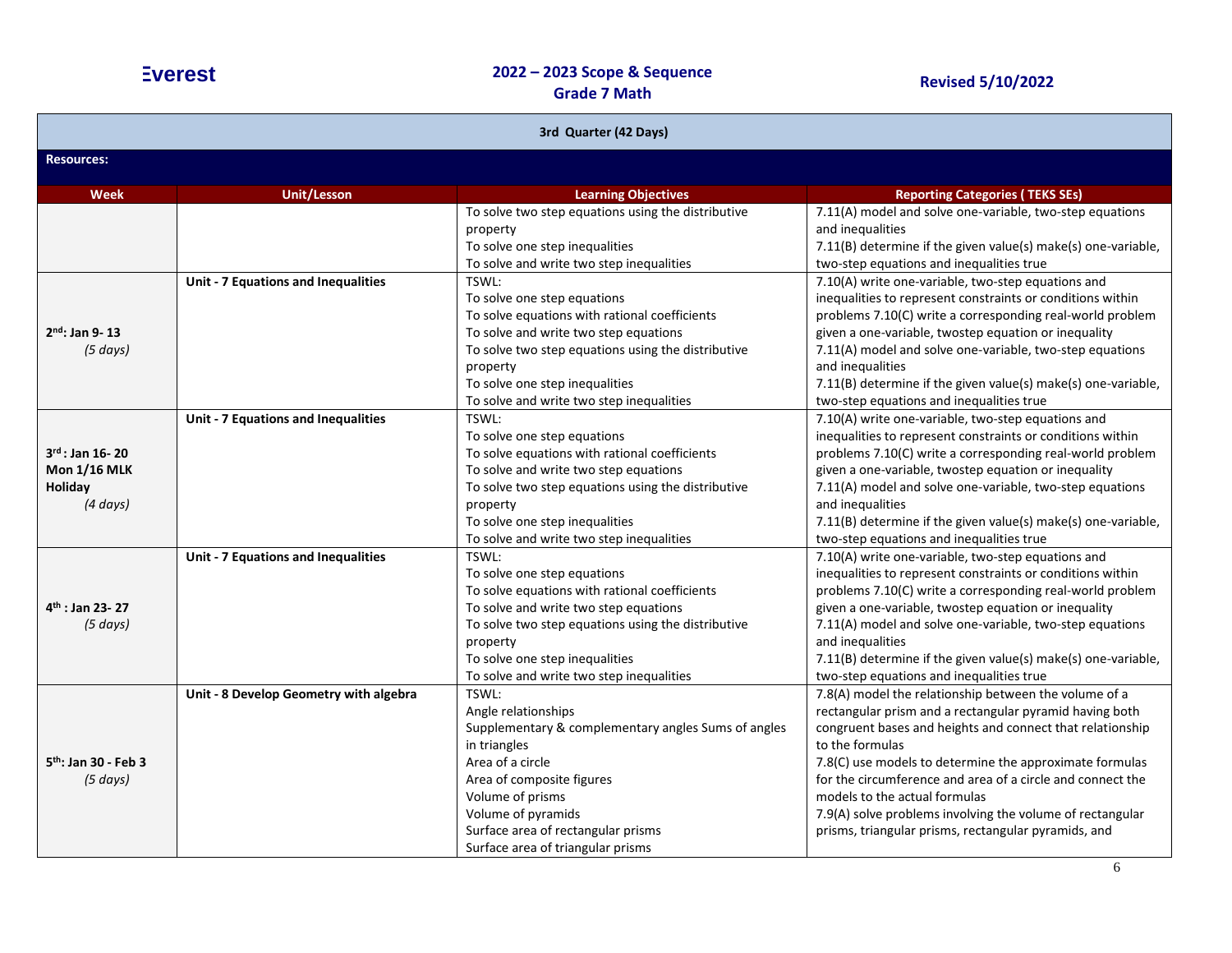| 3rd Quarter (42 Days)                                                  |                                        |                                                                                                                                                                                                                                                                                |                                                                                                                                                                                                                                                                                                                                                                                                                                                                                 |
|------------------------------------------------------------------------|----------------------------------------|--------------------------------------------------------------------------------------------------------------------------------------------------------------------------------------------------------------------------------------------------------------------------------|---------------------------------------------------------------------------------------------------------------------------------------------------------------------------------------------------------------------------------------------------------------------------------------------------------------------------------------------------------------------------------------------------------------------------------------------------------------------------------|
| <b>Resources:</b>                                                      |                                        |                                                                                                                                                                                                                                                                                |                                                                                                                                                                                                                                                                                                                                                                                                                                                                                 |
| <b>Week</b>                                                            | <b>Unit/Lesson</b>                     | <b>Learning Objectives</b>                                                                                                                                                                                                                                                     | <b>Reporting Categories (TEKS SEs)</b>                                                                                                                                                                                                                                                                                                                                                                                                                                          |
|                                                                        |                                        | To solve two step equations using the distributive<br>property<br>To solve one step inequalities<br>To solve and write two step inequalities                                                                                                                                   | 7.11(A) model and solve one-variable, two-step equations<br>and inequalities<br>7.11(B) determine if the given value(s) make(s) one-variable,<br>two-step equations and inequalities true                                                                                                                                                                                                                                                                                       |
| $2nd$ : Jan 9-13<br>(5 days)                                           | Unit - 7 Equations and Inequalities    | TSWL:<br>To solve one step equations<br>To solve equations with rational coefficients<br>To solve and write two step equations<br>To solve two step equations using the distributive<br>property<br>To solve one step inequalities<br>To solve and write two step inequalities | 7.10(A) write one-variable, two-step equations and<br>inequalities to represent constraints or conditions within<br>problems 7.10(C) write a corresponding real-world problem<br>given a one-variable, twostep equation or inequality<br>7.11(A) model and solve one-variable, two-step equations<br>and inequalities<br>7.11(B) determine if the given value(s) make(s) one-variable,<br>two-step equations and inequalities true                                              |
| $3^{rd}$ : Jan 16-20<br><b>Mon 1/16 MLK</b><br>Holiday<br>$(4 \ days)$ | Unit - 7 Equations and Inequalities    | TSWL:<br>To solve one step equations<br>To solve equations with rational coefficients<br>To solve and write two step equations<br>To solve two step equations using the distributive<br>property<br>To solve one step inequalities<br>To solve and write two step inequalities | 7.10(A) write one-variable, two-step equations and<br>inequalities to represent constraints or conditions within<br>problems 7.10(C) write a corresponding real-world problem<br>given a one-variable, twostep equation or inequality<br>7.11(A) model and solve one-variable, two-step equations<br>and inequalities<br>7.11(B) determine if the given value(s) make(s) one-variable,<br>two-step equations and inequalities true                                              |
| $4th$ : Jan 23-27<br>(5 days)                                          | Unit - 7 Equations and Inequalities    | TSWL:<br>To solve one step equations<br>To solve equations with rational coefficients<br>To solve and write two step equations<br>To solve two step equations using the distributive<br>property<br>To solve one step inequalities<br>To solve and write two step inequalities | 7.10(A) write one-variable, two-step equations and<br>inequalities to represent constraints or conditions within<br>problems 7.10(C) write a corresponding real-world problem<br>given a one-variable, twostep equation or inequality<br>7.11(A) model and solve one-variable, two-step equations<br>and inequalities<br>7.11(B) determine if the given value(s) make(s) one-variable,<br>two-step equations and inequalities true                                              |
| 5 <sup>th</sup> : Jan 30 - Feb 3<br>(5 days)                           | Unit - 8 Develop Geometry with algebra | TSWL:<br>Angle relationships<br>Supplementary & complementary angles Sums of angles<br>in triangles<br>Area of a circle<br>Area of composite figures<br>Volume of prisms<br>Volume of pyramids<br>Surface area of rectangular prisms<br>Surface area of triangular prisms      | 7.8(A) model the relationship between the volume of a<br>rectangular prism and a rectangular pyramid having both<br>congruent bases and heights and connect that relationship<br>to the formulas<br>7.8(C) use models to determine the approximate formulas<br>for the circumference and area of a circle and connect the<br>models to the actual formulas<br>7.9(A) solve problems involving the volume of rectangular<br>prisms, triangular prisms, rectangular pyramids, and |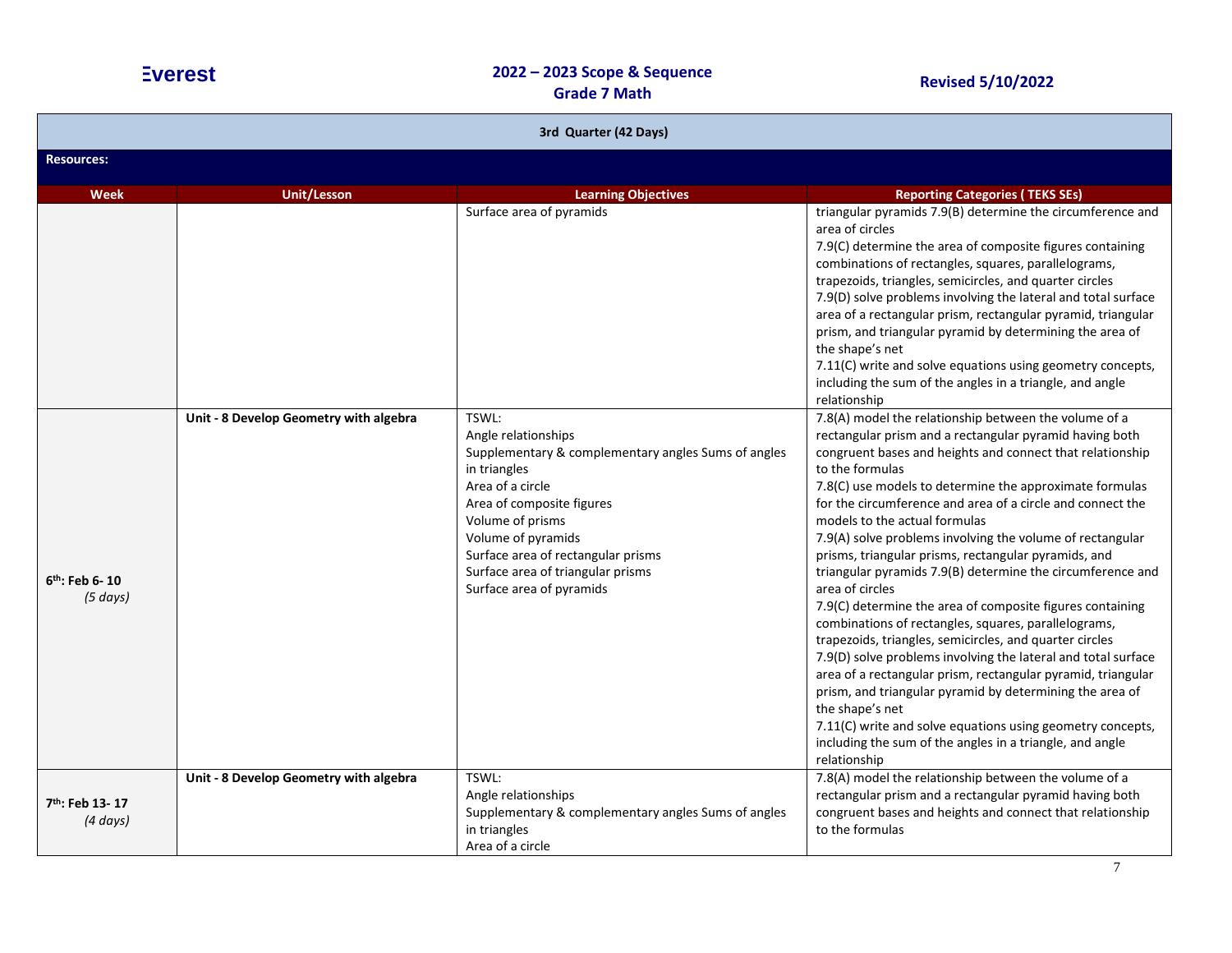| 3rd Quarter (42 Days)                        |                                        |                                                                                                                                                                                                                                                                                                       |                                                                                                                                                                                                                                                                                                                                                                                                                                                                                                                                                                                                                                                                                                                                                                                                                                                                                                                                                                                                                                                                                                                            |  |
|----------------------------------------------|----------------------------------------|-------------------------------------------------------------------------------------------------------------------------------------------------------------------------------------------------------------------------------------------------------------------------------------------------------|----------------------------------------------------------------------------------------------------------------------------------------------------------------------------------------------------------------------------------------------------------------------------------------------------------------------------------------------------------------------------------------------------------------------------------------------------------------------------------------------------------------------------------------------------------------------------------------------------------------------------------------------------------------------------------------------------------------------------------------------------------------------------------------------------------------------------------------------------------------------------------------------------------------------------------------------------------------------------------------------------------------------------------------------------------------------------------------------------------------------------|--|
| <b>Resources:</b>                            |                                        |                                                                                                                                                                                                                                                                                                       |                                                                                                                                                                                                                                                                                                                                                                                                                                                                                                                                                                                                                                                                                                                                                                                                                                                                                                                                                                                                                                                                                                                            |  |
| <b>Week</b>                                  | <b>Unit/Lesson</b>                     | <b>Learning Objectives</b>                                                                                                                                                                                                                                                                            | <b>Reporting Categories (TEKS SEs)</b>                                                                                                                                                                                                                                                                                                                                                                                                                                                                                                                                                                                                                                                                                                                                                                                                                                                                                                                                                                                                                                                                                     |  |
|                                              |                                        | Surface area of pyramids                                                                                                                                                                                                                                                                              | triangular pyramids 7.9(B) determine the circumference and<br>area of circles<br>7.9(C) determine the area of composite figures containing<br>combinations of rectangles, squares, parallelograms,<br>trapezoids, triangles, semicircles, and quarter circles<br>7.9(D) solve problems involving the lateral and total surface<br>area of a rectangular prism, rectangular pyramid, triangular<br>prism, and triangular pyramid by determining the area of<br>the shape's net<br>7.11(C) write and solve equations using geometry concepts,<br>including the sum of the angles in a triangle, and angle                                                                                                                                                                                                                                                                                                                                                                                                                                                                                                                    |  |
| $6th$ : Feb 6-10<br>(5 days)                 | Unit - 8 Develop Geometry with algebra | TSWL:<br>Angle relationships<br>Supplementary & complementary angles Sums of angles<br>in triangles<br>Area of a circle<br>Area of composite figures<br>Volume of prisms<br>Volume of pyramids<br>Surface area of rectangular prisms<br>Surface area of triangular prisms<br>Surface area of pyramids | relationship<br>7.8(A) model the relationship between the volume of a<br>rectangular prism and a rectangular pyramid having both<br>congruent bases and heights and connect that relationship<br>to the formulas<br>7.8(C) use models to determine the approximate formulas<br>for the circumference and area of a circle and connect the<br>models to the actual formulas<br>7.9(A) solve problems involving the volume of rectangular<br>prisms, triangular prisms, rectangular pyramids, and<br>triangular pyramids 7.9(B) determine the circumference and<br>area of circles<br>7.9(C) determine the area of composite figures containing<br>combinations of rectangles, squares, parallelograms,<br>trapezoids, triangles, semicircles, and quarter circles<br>7.9(D) solve problems involving the lateral and total surface<br>area of a rectangular prism, rectangular pyramid, triangular<br>prism, and triangular pyramid by determining the area of<br>the shape's net<br>7.11(C) write and solve equations using geometry concepts,<br>including the sum of the angles in a triangle, and angle<br>relationship |  |
| 7 <sup>th</sup> : Feb 13-17<br>$(4 \, days)$ | Unit - 8 Develop Geometry with algebra | TSWL:<br>Angle relationships<br>Supplementary & complementary angles Sums of angles<br>in triangles<br>Area of a circle                                                                                                                                                                               | 7.8(A) model the relationship between the volume of a<br>rectangular prism and a rectangular pyramid having both<br>congruent bases and heights and connect that relationship<br>to the formulas                                                                                                                                                                                                                                                                                                                                                                                                                                                                                                                                                                                                                                                                                                                                                                                                                                                                                                                           |  |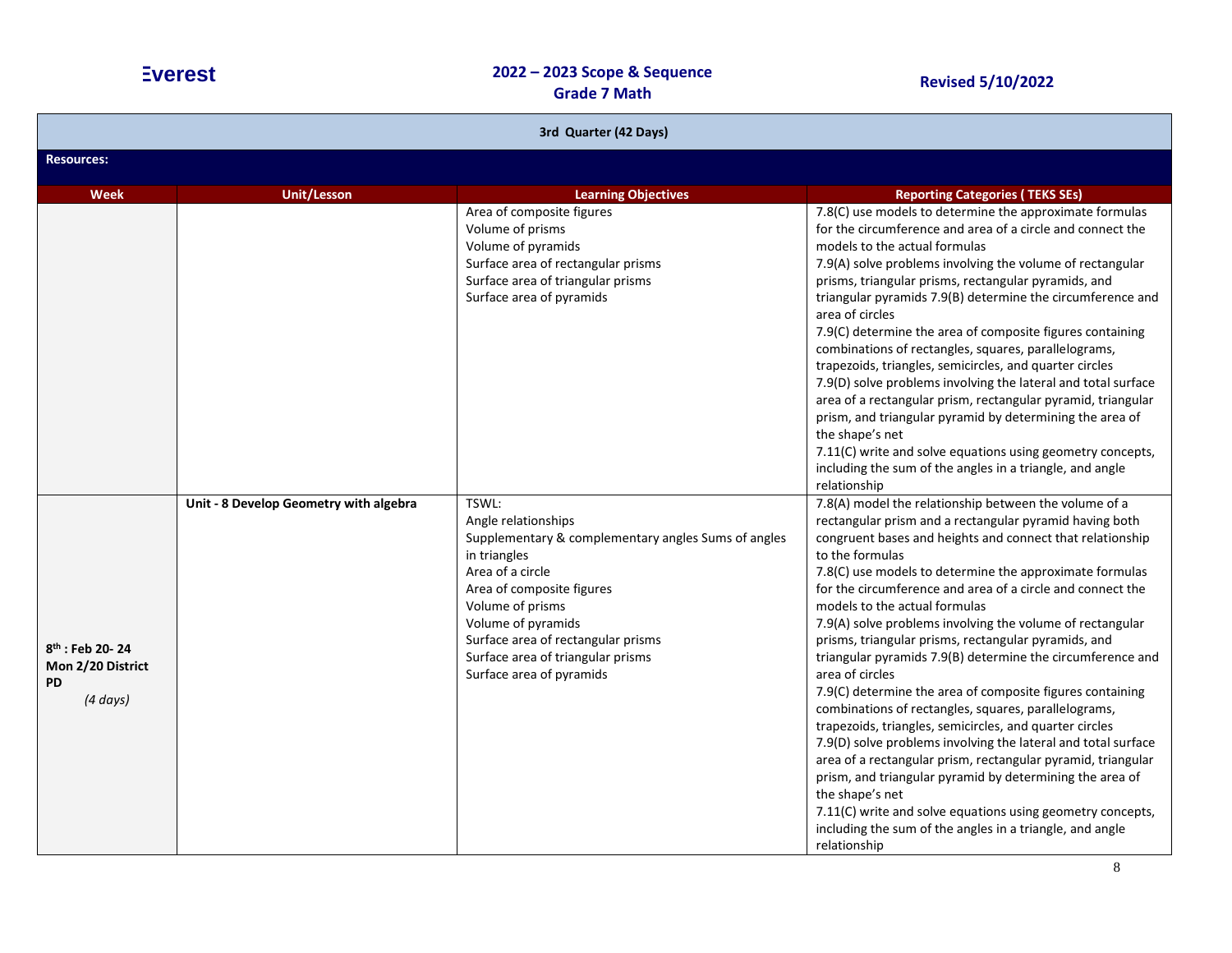| 3rd Quarter (42 Days)                                                          |                                        |                                                                                                                                                                                                                                                                                                       |                                                                                                                                                                                                                                                                                                                                                                                                                                                                                                                                                                                                                                                                                                                                                                                                                                                                                                                                                                                                                                                                                                            |  |
|--------------------------------------------------------------------------------|----------------------------------------|-------------------------------------------------------------------------------------------------------------------------------------------------------------------------------------------------------------------------------------------------------------------------------------------------------|------------------------------------------------------------------------------------------------------------------------------------------------------------------------------------------------------------------------------------------------------------------------------------------------------------------------------------------------------------------------------------------------------------------------------------------------------------------------------------------------------------------------------------------------------------------------------------------------------------------------------------------------------------------------------------------------------------------------------------------------------------------------------------------------------------------------------------------------------------------------------------------------------------------------------------------------------------------------------------------------------------------------------------------------------------------------------------------------------------|--|
| <b>Resources:</b>                                                              |                                        |                                                                                                                                                                                                                                                                                                       |                                                                                                                                                                                                                                                                                                                                                                                                                                                                                                                                                                                                                                                                                                                                                                                                                                                                                                                                                                                                                                                                                                            |  |
| Week                                                                           | <b>Unit/Lesson</b>                     | <b>Learning Objectives</b>                                                                                                                                                                                                                                                                            | <b>Reporting Categories (TEKS SEs)</b>                                                                                                                                                                                                                                                                                                                                                                                                                                                                                                                                                                                                                                                                                                                                                                                                                                                                                                                                                                                                                                                                     |  |
|                                                                                |                                        | Area of composite figures<br>Volume of prisms<br>Volume of pyramids<br>Surface area of rectangular prisms<br>Surface area of triangular prisms<br>Surface area of pyramids                                                                                                                            | 7.8(C) use models to determine the approximate formulas<br>for the circumference and area of a circle and connect the<br>models to the actual formulas<br>7.9(A) solve problems involving the volume of rectangular<br>prisms, triangular prisms, rectangular pyramids, and<br>triangular pyramids 7.9(B) determine the circumference and<br>area of circles<br>7.9(C) determine the area of composite figures containing<br>combinations of rectangles, squares, parallelograms,<br>trapezoids, triangles, semicircles, and quarter circles<br>7.9(D) solve problems involving the lateral and total surface<br>area of a rectangular prism, rectangular pyramid, triangular<br>prism, and triangular pyramid by determining the area of<br>the shape's net<br>7.11(C) write and solve equations using geometry concepts,<br>including the sum of the angles in a triangle, and angle<br>relationship                                                                                                                                                                                                     |  |
| 8 <sup>th</sup> : Feb 20-24<br>Mon 2/20 District<br><b>PD</b><br>$(4 \, days)$ | Unit - 8 Develop Geometry with algebra | TSWL:<br>Angle relationships<br>Supplementary & complementary angles Sums of angles<br>in triangles<br>Area of a circle<br>Area of composite figures<br>Volume of prisms<br>Volume of pyramids<br>Surface area of rectangular prisms<br>Surface area of triangular prisms<br>Surface area of pyramids | 7.8(A) model the relationship between the volume of a<br>rectangular prism and a rectangular pyramid having both<br>congruent bases and heights and connect that relationship<br>to the formulas<br>7.8(C) use models to determine the approximate formulas<br>for the circumference and area of a circle and connect the<br>models to the actual formulas<br>7.9(A) solve problems involving the volume of rectangular<br>prisms, triangular prisms, rectangular pyramids, and<br>triangular pyramids 7.9(B) determine the circumference and<br>area of circles<br>7.9(C) determine the area of composite figures containing<br>combinations of rectangles, squares, parallelograms,<br>trapezoids, triangles, semicircles, and quarter circles<br>7.9(D) solve problems involving the lateral and total surface<br>area of a rectangular prism, rectangular pyramid, triangular<br>prism, and triangular pyramid by determining the area of<br>the shape's net<br>7.11(C) write and solve equations using geometry concepts,<br>including the sum of the angles in a triangle, and angle<br>relationship |  |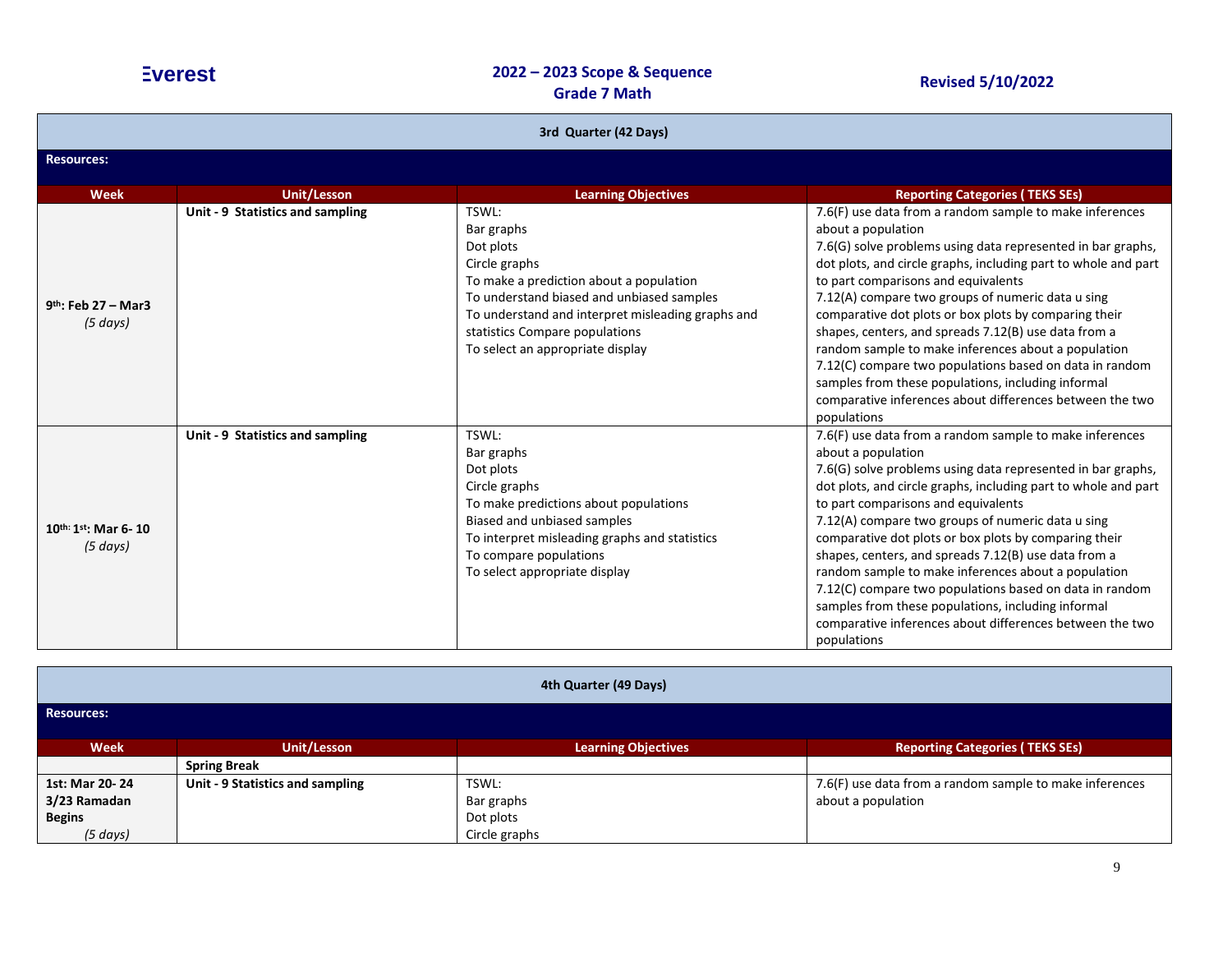| 3rd Quarter (42 Days)                     |                                  |                                                                                                                                                                                                                                                                      |                                                                                                                                                                                                                                                                                                                                                                                                                                                                                                                                                                                                                                                                                |  |  |
|-------------------------------------------|----------------------------------|----------------------------------------------------------------------------------------------------------------------------------------------------------------------------------------------------------------------------------------------------------------------|--------------------------------------------------------------------------------------------------------------------------------------------------------------------------------------------------------------------------------------------------------------------------------------------------------------------------------------------------------------------------------------------------------------------------------------------------------------------------------------------------------------------------------------------------------------------------------------------------------------------------------------------------------------------------------|--|--|
| <b>Resources:</b>                         |                                  |                                                                                                                                                                                                                                                                      |                                                                                                                                                                                                                                                                                                                                                                                                                                                                                                                                                                                                                                                                                |  |  |
| <b>Week</b>                               | <b>Unit/Lesson</b>               | <b>Learning Objectives</b>                                                                                                                                                                                                                                           | <b>Reporting Categories (TEKS SEs)</b>                                                                                                                                                                                                                                                                                                                                                                                                                                                                                                                                                                                                                                         |  |  |
| $9th$ : Feb 27 – Mar3<br>(5 days)         | Unit - 9 Statistics and sampling | TSWL:<br>Bar graphs<br>Dot plots<br>Circle graphs<br>To make a prediction about a population<br>To understand biased and unbiased samples<br>To understand and interpret misleading graphs and<br>statistics Compare populations<br>To select an appropriate display | 7.6(F) use data from a random sample to make inferences<br>about a population<br>7.6(G) solve problems using data represented in bar graphs,<br>dot plots, and circle graphs, including part to whole and part<br>to part comparisons and equivalents<br>7.12(A) compare two groups of numeric data u sing<br>comparative dot plots or box plots by comparing their<br>shapes, centers, and spreads 7.12(B) use data from a<br>random sample to make inferences about a population<br>7.12(C) compare two populations based on data in random<br>samples from these populations, including informal<br>comparative inferences about differences between the two<br>populations |  |  |
| 10th: 1st; Mar 6-10<br>$(5 \text{ days})$ | Unit - 9 Statistics and sampling | TSWL:<br>Bar graphs<br>Dot plots<br>Circle graphs<br>To make predictions about populations<br>Biased and unbiased samples<br>To interpret misleading graphs and statistics<br>To compare populations<br>To select appropriate display                                | 7.6(F) use data from a random sample to make inferences<br>about a population<br>7.6(G) solve problems using data represented in bar graphs,<br>dot plots, and circle graphs, including part to whole and part<br>to part comparisons and equivalents<br>7.12(A) compare two groups of numeric data u sing<br>comparative dot plots or box plots by comparing their<br>shapes, centers, and spreads 7.12(B) use data from a<br>random sample to make inferences about a population<br>7.12(C) compare two populations based on data in random<br>samples from these populations, including informal<br>comparative inferences about differences between the two<br>populations |  |  |

| 4th Quarter (49 Days) |                                  |                            |                                                         |
|-----------------------|----------------------------------|----------------------------|---------------------------------------------------------|
| Resources:            |                                  |                            |                                                         |
| Week                  | <b>Unit/Lesson</b>               | <b>Learning Objectives</b> | <b>Reporting Categories (TEKS SEs)</b>                  |
|                       | <b>Spring Break</b>              |                            |                                                         |
| 1st: Mar 20-24        | Unit - 9 Statistics and sampling | TSWL:                      | 7.6(F) use data from a random sample to make inferences |
| 3/23 Ramadan          |                                  | Bar graphs                 | about a population                                      |
| <b>Begins</b>         |                                  | Dot plots                  |                                                         |
| (5 days)              |                                  | Circle graphs              |                                                         |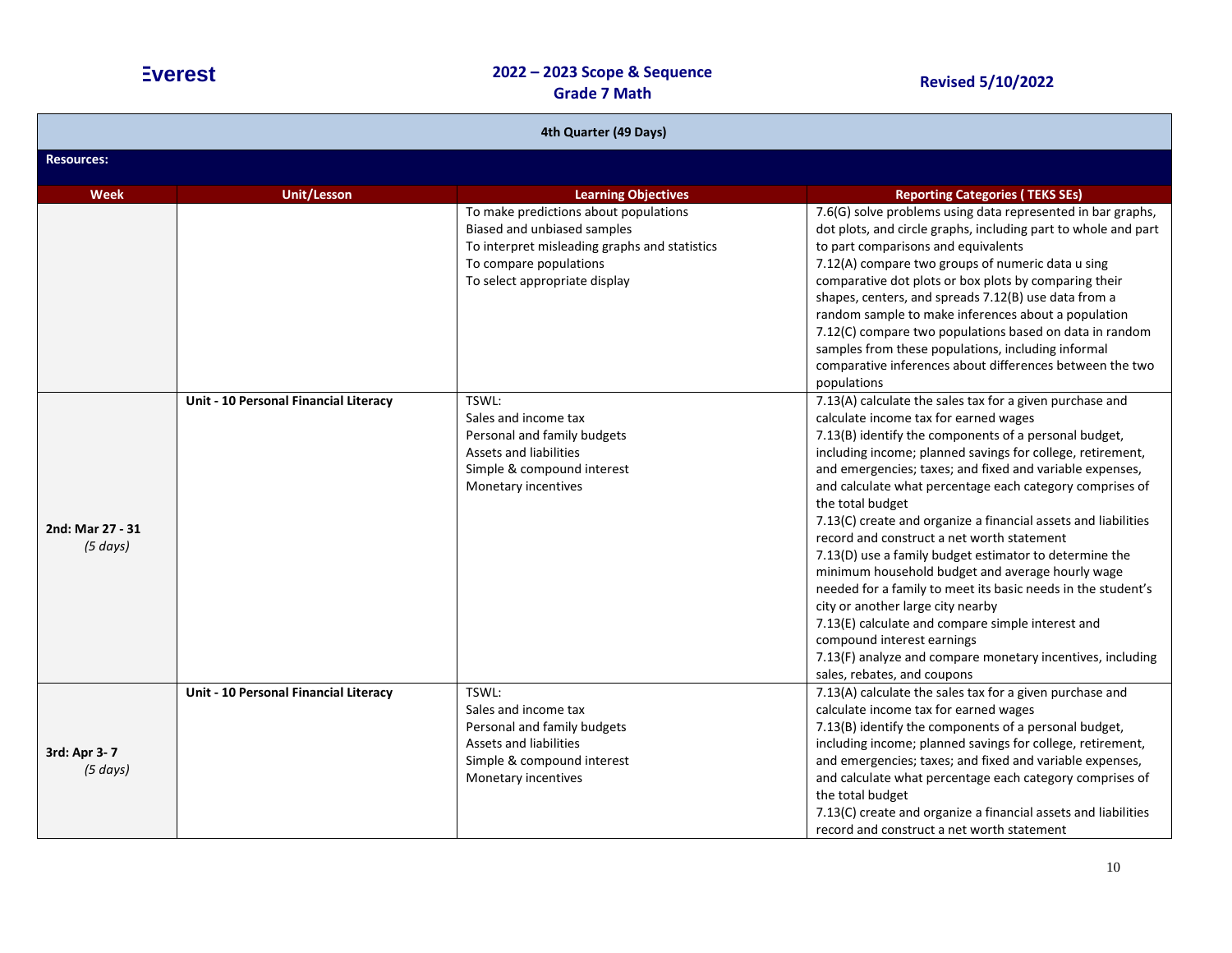| 4th Quarter (49 Days)        |                                       |                                                                                                                                                                                  |                                                                                                                                                                                                                                                                                                                                                                                                                                                                                                                                                                                                                                                                                                                                                                                                                                                                                                        |  |  |
|------------------------------|---------------------------------------|----------------------------------------------------------------------------------------------------------------------------------------------------------------------------------|--------------------------------------------------------------------------------------------------------------------------------------------------------------------------------------------------------------------------------------------------------------------------------------------------------------------------------------------------------------------------------------------------------------------------------------------------------------------------------------------------------------------------------------------------------------------------------------------------------------------------------------------------------------------------------------------------------------------------------------------------------------------------------------------------------------------------------------------------------------------------------------------------------|--|--|
| <b>Resources:</b>            |                                       |                                                                                                                                                                                  |                                                                                                                                                                                                                                                                                                                                                                                                                                                                                                                                                                                                                                                                                                                                                                                                                                                                                                        |  |  |
| <b>Week</b>                  | <b>Unit/Lesson</b>                    | <b>Learning Objectives</b>                                                                                                                                                       | <b>Reporting Categories (TEKS SEs)</b>                                                                                                                                                                                                                                                                                                                                                                                                                                                                                                                                                                                                                                                                                                                                                                                                                                                                 |  |  |
|                              |                                       | To make predictions about populations<br>Biased and unbiased samples<br>To interpret misleading graphs and statistics<br>To compare populations<br>To select appropriate display | 7.6(G) solve problems using data represented in bar graphs,<br>dot plots, and circle graphs, including part to whole and part<br>to part comparisons and equivalents<br>7.12(A) compare two groups of numeric data u sing<br>comparative dot plots or box plots by comparing their<br>shapes, centers, and spreads 7.12(B) use data from a<br>random sample to make inferences about a population<br>7.12(C) compare two populations based on data in random<br>samples from these populations, including informal<br>comparative inferences about differences between the two                                                                                                                                                                                                                                                                                                                         |  |  |
| 2nd: Mar 27 - 31<br>(5 days) | Unit - 10 Personal Financial Literacy | TSWL:<br>Sales and income tax<br>Personal and family budgets<br>Assets and liabilities<br>Simple & compound interest<br>Monetary incentives                                      | populations<br>7.13(A) calculate the sales tax for a given purchase and<br>calculate income tax for earned wages<br>7.13(B) identify the components of a personal budget,<br>including income; planned savings for college, retirement,<br>and emergencies; taxes; and fixed and variable expenses,<br>and calculate what percentage each category comprises of<br>the total budget<br>7.13(C) create and organize a financial assets and liabilities<br>record and construct a net worth statement<br>7.13(D) use a family budget estimator to determine the<br>minimum household budget and average hourly wage<br>needed for a family to meet its basic needs in the student's<br>city or another large city nearby<br>7.13(E) calculate and compare simple interest and<br>compound interest earnings<br>7.13(F) analyze and compare monetary incentives, including<br>sales, rebates, and coupons |  |  |
| 3rd: Apr 3-7<br>(5 days)     | Unit - 10 Personal Financial Literacy | TSWL:<br>Sales and income tax<br>Personal and family budgets<br><b>Assets and liabilities</b><br>Simple & compound interest<br>Monetary incentives                               | 7.13(A) calculate the sales tax for a given purchase and<br>calculate income tax for earned wages<br>7.13(B) identify the components of a personal budget,<br>including income; planned savings for college, retirement,<br>and emergencies; taxes; and fixed and variable expenses,<br>and calculate what percentage each category comprises of<br>the total budget<br>7.13(C) create and organize a financial assets and liabilities<br>record and construct a net worth statement                                                                                                                                                                                                                                                                                                                                                                                                                   |  |  |